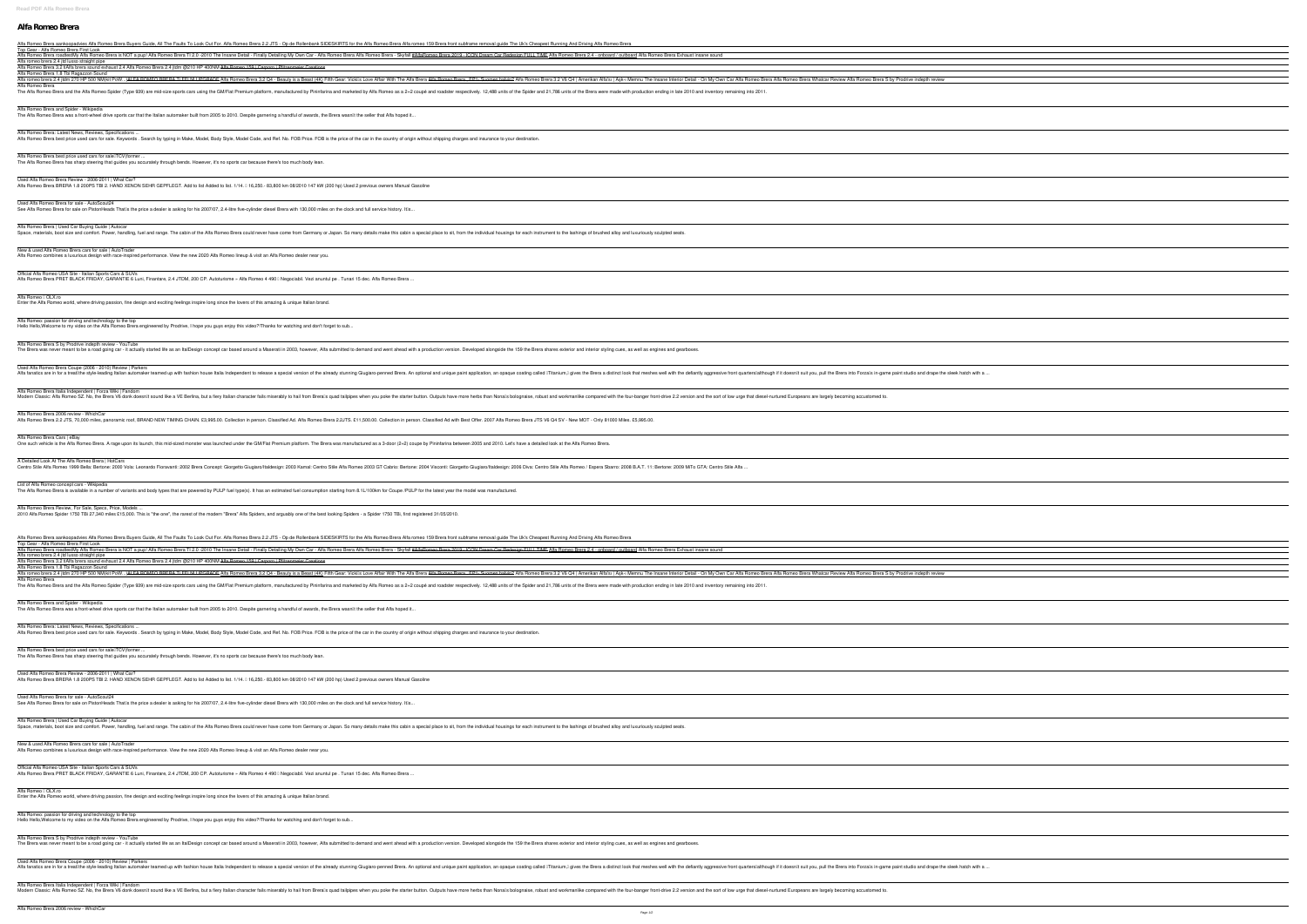## **Alfa Romeo Brera**

Alfa Romeo Brera aankoopadvies Alfa Romeo Brera Buyers Guide, All The Faults To Look Out For. Alfa Romeo Brera 2.2 JTS - Op de Rollenbank SIDESKIRTS for the Alfa Romeo Brera from subframe removal guide The Uk's Cheapest Ru Top Gear - Alfa Romeo Brera First Look Alfa Romeo Brera roadtestMy Alfa Romeo Brera is NOT a pup! Alfa Romeo Brera TI 2.0 -2010 The Insane Detail - Finally Detailing My Own Car - Alfa Romeo Brera 2019 - ICON Dream Car Redesign FULL TIME Alfa Romeo Brera 2.4 - o

Alfa romeo brera 2.4 jtd lusso straight pipe Alfa Romeo Brera 3.2 ti**Alfa brera sound exhaust 2.4** *Alfa Romeo Brera 2.4 jtdm @210 HP 400NM* Alfa Romeo 159 | Carporn | Pfitzenmeier Creations

Alfa Romeo Brera and Spider - Wikipedia The Alfa Romeo Brera was a front-wheel drive sports car that the Italian automaker built from 2005 to 2010. Despite garnering a handful of awards, the Brera wasn<sup>ne</sup>t the seller that Alfa hoped it..

Alfa Romeo Brera: Latest News, Reviews, Specifications ... Alfa Romeo Brera best price used cars for sale. Keywords . Search by typing in Make, Model, Body Style, Model Code, and Ref. No. FOB Price. FOB is the price of the car in the country of origin without shipping charges and

Alfa Romeo Brera 1.8 Tbi Ragazzon Sound Alfa romeo brera 2.4 jtdm 270 HP 500 NM(kit PoW...)ALFA ROMEO BRERA Ti FELNI UPGRADE Alfa Romeo Brera 3.2 Q4 - Beauty is a Beast (4K) Fifth Gear: Vickills Love Affair With The Alfa Romeo Brera Alfa Romeo Brera, EP1 - Summe Alfa Romeo Brera

The Alfa Romeo Brera and the Alfa Romeo Spider (Type 939) are mid-size sports cars using the GM/Fiat Premium platform, manufactured by Pininfarina and marketed by Alfa Romeo as a 2+2 coupé and roadster respectively. 12,488

Alfa Romeo Brera best price used cars for salelTCV(former. The Alfa Romeo Brera has sharp steering that guides you accurately through bends. However, it's no sports car because there's too much body lean.

Used Alfa Romeo Brera for sale - AutoScout24 See Alfa Romeo Brera for sale on PistonHeads That<sup>n</sup>s the price a dealer is asking for his 2007/07, 2.4-litre five-cylinder diesel Brera with 130,000 miles on the clock and full service history. Itns...

Alfa Romeo Brera | Used Car Buying Guide | Autocar Space, materials, boot size and comfort. Power, handling, fuel and range. The cabin of the Alfa Romeo Brera could never have come from Germany or Japan. So many details make this cabin a special place to sit, from the indi

Alfa Romeo Brera S by Prodrive indepth review - YouTube The Brera was never meant to be a road going car - it actually started life as an ItalDesign concept car based around a Maserati in 2003, however, Alfa submitted to demand and went ahead with a production version. Develope

Used Alfa Romeo Brera Coupe (2006 - 2010) Review | Parkers In Alfa fanatics are in for a treatilithe style-leading Italian automaker teamed up with fashion house Italia Independent to release a special version of the already stunning Giugiaro-penned Brera. An optional and unique p

Used Alfa Romeo Brera Review - 2006-2011 | What Car?

Alfa Romeo Brera BRERA 1.8 200PS TBI 2. HAND XENON SEHR GEPFLEGT. Add to list Added to list. 1/14. [16,250.-83,800 km 08/2010 147 kW (200 hp) Used 2 previous owners Manual Gasoline

Alfa Romeo Brera Italia Independent | Forza Wiki | Fandom Modern Classic: Alfa Romeo SZ. No, the Brera V6 donk doesnllt sound like a VE Berlina, but a fiery Italian character fails miserably to hail from Brerals guad tailpipes when you poke the starter button. Outputs have more h

A Detailed Look At The Alfa Romeo Brera | HotCars Centro Stile Alfa Romeo 1999 Bella: Bertone: 2000 Vola: Leonardo Fioravanti: 2002 Brera Concept: Giorgetto Giugiaro/Italdesign: 2003 Kamal: Centro Stile Alfa Romeo 2003 GT Cabrio: Bertone: 2006 Diva: Centro Stile Alfa Rome

List of Alfa Romeo concept cars - Wikipedia The Alfa Romeo Brera is available in a number of variants and body types that are powered by PULP fuel type(s). It has an estimated fuel consumption starting from 8.1L/100km for Coupe /PULP for the latest year the model wa

Alfa Romeo Brera Review, For Sale, Specs, Price, Models 2010 Alfa Romeo Spider 1750 TBi 27,340 miles £15,000. This is "the one", the rarest of the modern "Brera" Alfa Spiders, and arguably one of the best looking Spiders - a Spider 1750 TBi, first registered 31/05/2010.

New & used Alfa Romeo Brera cars for sale | AutoTrader Alfa Romeo combines a luxurious design with race-inspired performance. View the new 2020 Alfa Romeo lineup & visit an Alfa Romeo dealer near you.

Official Alfa Romeo USA Site - Italian Sports Cars & SUVs

Alfa Romeo Brera PRET BLACK FRIDAY, GARANTIE 6 Luni, Finantare, 2.4 JTDM, 200 CP. Autoturisme » Alfa Romeo 4 490 [ Negociabil. Vezi anuntul pe . Tunari 15 dec. Alfa Romeo Brera .

Alfa Romeo II OLX.ro

Enter the Alfa Romeo world, where driving passion, fine design and exciting feelings inspire long since the lovers of this amazing & unique Italian brand.

Alfa Romeo: passion for driving and technology to the top

Alfa Romeo Brera aankoopadvies Alfa Romeo Brera Buyers Guide, All The Faults To Look Out For. Alfa Romeo Brera 2.2 JTS - Op de Rollenbank SIDESKIRTS for the Alfa Romeo Brera Alfa romeo 159 Brera front subframe removal guid Top Gear - Alfa Romeo Brera First Look Alfa Romeo Brera roadtestMy Alfa Romeo Brera is NOT a pup! Alfa Romeo Brera TI 2.0 -2010 The Insane Detail - Finally Detailing My Own Car - Alfa Romeo Brera 2019 - ICON Dream Car Redesign FULL TIME Alfa Romeo Brera 2.4 - o Alfa romeo brera 2.4 jtd lusso straight pipe Alfa Romeo Brera 3.2 ti**Alfa brera sound exhaust 2.4** *Alfa Romeo Brera 2.4 jtdm @210 HP 400NM* Alfa Romeo 159 | Carporn | Pfitzenmeier Creations Alfa Romeo Brera 1.8 Tbi Ragazzon Sound

Alfa romeo brera 2.4 jtdm 270 HP 500 NM(kit PoW...)ALFA ROMEO BRERA Ti FELNI UPGRADE Alfa Romeo Brera 3.2 Q4 - Beauty is a Beast (4K) Fifth Gear: Vickills Love Affair With The Alfa Romeo Brera Alfa Romeo Brera, EP1- Suomen Alfa Romeo Brera The Alfa Romeo Brera and the Alfa Romeo Spider (Type 939) are mid-size sports cars using the GM/Fiat Premium platform, manufactured by Pininfarina and marketed by Alfa Romeo as a 2+2 coupé and roadster respectively. 12,488

Hello Hello,Welcome to my video on the Alfa Romeo Brera engineered by Prodrive, I hope you guys enjoy this video?!Thanks for watching and don't forget to sub...

Alfa Romeo Brera and Spider - Wikipedia The Alfa Romeo Brera was a front-wheel drive sports car that the Italian automaker built from 2005 to 2010. Despite garnering a handful of awards, the Brera wasn<sup>[1</sup>t the seller that Alfa hoped it..

Alfa Romeo Brera: Latest News, Reviews, Specifications ... Alfa Romeo Brera best price used cars for sale. Keywords . Search by typing in Make, Model, Body Style, Model Code, and Ref. No. FOB Price. FOB is the price of the car in the country of origin without shipping charges and

Alfa Romeo Brera best price used cars for salelTCV(former. The Alfa Romeo Brera has sharp steering that guides you accurately through bends. However, it's no sports car because there's too much body lean.

Used Alfa Romeo Brera Review - 2006-2011 | What Car? Alfa Romeo Brera BRERA 1.8 200PS TBI 2. HAND XENON SEHR GEPFLEGT. Add to list Added to list. 1/14. [16,250.-83,800 km 08/2010 147 kW (200 hp) Used 2 previous owners Manual Gasoline

Used Alfa Romeo Brera for sale - AutoScout24 See Alfa Romeo Brera for sale on PistonHeads That<sup>n</sup>s the price a dealer is asking for his 2007/07, 2.4-litre five-cylinder diesel Brera with 130,000 miles on the clock and full service history. Itls...

Alfa Romeo Brera | Used Car Buying Guide | Autocar Space, materials, boot size and comfort. Power, handling, fuel and range. The cabin of the Alfa Romeo Brera could never have come from Germany or Japan. So many details make this cabin a special place to sit, from the indi

Official Alfa Romeo USA Site - Italian Sports Cars & SUVs Alfa Romeo Brera PRET BLACK FRIDAY, GARANTIE 6 Luni, Finantare, 2.4 JTDM, 200 CP. Autoturisme » Alfa Romeo 4 490 [ Negociabil. Vezi anuntul pe . Tunari 15 dec. Alfa Romeo Brera ..

Alfa Romeo II OLX.ro

Alfa Romeo Brera 2006 review - WhichCar

Alfa Romeo Brera S by Prodrive indepth review - YouTube The Brera was never meant to be a road going car - it actually started life as an ItalDesign concept car based around a Maserati in 2003, however, Alfa submitted to demand and went ahead with a production version. Develope

Used Alfa Romeo Brera Coupe (2006 - 2010) Review | Parkers Alfa fanatics are in for a treatIlthe style-leading Italian automaker teamed up with fashion house Italia Independent to release a special version of the already stunning Giugiaro-penned Brera. An optional and unique paint

Alfa Romeo Brera Cars | eBay

Alfa Romeo Brera 2.2 JTS, 70,000 miles, panoramic roof, BRAND NEW TIMING CHAIN. £3,995.00. Collection in person. Classified Ad. Alfa Romeo Brera 2.2JTS. £11,500.00. Collection in person. Classified Ad with Best Offer. 2007

One such vehicle is the Alfa Romeo Brera. A rage upon its launch, this mid-sized monster was launched under the GM/Fiat Premium platform. The Brera was manufactured as a 3-door (2+2) coupe by Pininfarina between 2005 and 2

Alfa Romeo Brera Italia Independent | Forza Wiki | Fandom Modern Classic: Alfa Romeo SZ. No, the Brera V6 donk doesnllt sound like a VE Berlina, but a fiery Italian character fails miserably to hail from Brerals quad tailpipes when you poke the starter button. Outputs have more h

New & used Alfa Romeo Brera cars for sale | AutoTrader

Alfa Romeo combines a luxurious design with race-inspired performance. View the new 2020 Alfa Romeo lineup & visit an Alfa Romeo dealer near you.

Enter the Alfa Romeo world, where driving passion, fine design and exciting feelings inspire long since the lovers of this amazing & unique Italian brand.

Alfa Romeo: passion for driving and technology to the top Hello Hello,Welcome to my video on the Alfa Romeo Brera engineered by Prodrive, I hope you guys enjoy this video?!Thanks for watching and don't forget to sub...

| and the control of the control of the control of the control of the control of the control of the control of the                                                                                                                             |                                               |                                                                                                                      |
|----------------------------------------------------------------------------------------------------------------------------------------------------------------------------------------------------------------------------------------------|-----------------------------------------------|----------------------------------------------------------------------------------------------------------------------|
|                                                                                                                                                                                                                                              |                                               |                                                                                                                      |
|                                                                                                                                                                                                                                              |                                               |                                                                                                                      |
|                                                                                                                                                                                                                                              |                                               |                                                                                                                      |
|                                                                                                                                                                                                                                              |                                               |                                                                                                                      |
|                                                                                                                                                                                                                                              |                                               |                                                                                                                      |
|                                                                                                                                                                                                                                              |                                               |                                                                                                                      |
|                                                                                                                                                                                                                                              |                                               |                                                                                                                      |
|                                                                                                                                                                                                                                              |                                               |                                                                                                                      |
|                                                                                                                                                                                                                                              |                                               |                                                                                                                      |
|                                                                                                                                                                                                                                              |                                               |                                                                                                                      |
|                                                                                                                                                                                                                                              |                                               |                                                                                                                      |
|                                                                                                                                                                                                                                              |                                               |                                                                                                                      |
|                                                                                                                                                                                                                                              |                                               |                                                                                                                      |
|                                                                                                                                                                                                                                              |                                               |                                                                                                                      |
|                                                                                                                                                                                                                                              |                                               |                                                                                                                      |
|                                                                                                                                                                                                                                              |                                               |                                                                                                                      |
|                                                                                                                                                                                                                                              |                                               |                                                                                                                      |
|                                                                                                                                                                                                                                              |                                               |                                                                                                                      |
|                                                                                                                                                                                                                                              |                                               |                                                                                                                      |
|                                                                                                                                                                                                                                              |                                               |                                                                                                                      |
|                                                                                                                                                                                                                                              | <u> 1989 - Andrea Andrew Maria (h. 1989).</u> |                                                                                                                      |
|                                                                                                                                                                                                                                              |                                               |                                                                                                                      |
|                                                                                                                                                                                                                                              |                                               |                                                                                                                      |
|                                                                                                                                                                                                                                              |                                               |                                                                                                                      |
|                                                                                                                                                                                                                                              |                                               |                                                                                                                      |
|                                                                                                                                                                                                                                              |                                               |                                                                                                                      |
|                                                                                                                                                                                                                                              |                                               |                                                                                                                      |
|                                                                                                                                                                                                                                              |                                               |                                                                                                                      |
|                                                                                                                                                                                                                                              |                                               |                                                                                                                      |
|                                                                                                                                                                                                                                              |                                               |                                                                                                                      |
|                                                                                                                                                                                                                                              |                                               |                                                                                                                      |
|                                                                                                                                                                                                                                              |                                               |                                                                                                                      |
|                                                                                                                                                                                                                                              |                                               |                                                                                                                      |
|                                                                                                                                                                                                                                              |                                               |                                                                                                                      |
|                                                                                                                                                                                                                                              |                                               |                                                                                                                      |
|                                                                                                                                                                                                                                              |                                               |                                                                                                                      |
|                                                                                                                                                                                                                                              |                                               |                                                                                                                      |
|                                                                                                                                                                                                                                              |                                               |                                                                                                                      |
|                                                                                                                                                                                                                                              |                                               |                                                                                                                      |
|                                                                                                                                                                                                                                              |                                               |                                                                                                                      |
|                                                                                                                                                                                                                                              |                                               |                                                                                                                      |
|                                                                                                                                                                                                                                              |                                               |                                                                                                                      |
| <u> 1989 - Johann Stein, marwolaethau a bhann an t-Albann an t-Albann an t-Albann an t-Albann an t-Albann an t-Al</u>                                                                                                                        |                                               |                                                                                                                      |
|                                                                                                                                                                                                                                              |                                               |                                                                                                                      |
|                                                                                                                                                                                                                                              |                                               |                                                                                                                      |
|                                                                                                                                                                                                                                              | <u> 1989 - Andrea Andrew Maria (h. 1989).</u> |                                                                                                                      |
|                                                                                                                                                                                                                                              |                                               |                                                                                                                      |
|                                                                                                                                                                                                                                              |                                               |                                                                                                                      |
|                                                                                                                                                                                                                                              |                                               |                                                                                                                      |
|                                                                                                                                                                                                                                              |                                               |                                                                                                                      |
|                                                                                                                                                                                                                                              |                                               |                                                                                                                      |
|                                                                                                                                                                                                                                              |                                               |                                                                                                                      |
|                                                                                                                                                                                                                                              |                                               |                                                                                                                      |
|                                                                                                                                                                                                                                              |                                               |                                                                                                                      |
|                                                                                                                                                                                                                                              |                                               |                                                                                                                      |
|                                                                                                                                                                                                                                              |                                               |                                                                                                                      |
|                                                                                                                                                                                                                                              |                                               |                                                                                                                      |
|                                                                                                                                                                                                                                              |                                               |                                                                                                                      |
|                                                                                                                                                                                                                                              |                                               |                                                                                                                      |
|                                                                                                                                                                                                                                              |                                               | <u> 1989 - Andrea Santa Andrea Santa Andrea Santa Andrea Santa Andrea Santa Andrea Santa Andrea Santa Andrea San</u> |
|                                                                                                                                                                                                                                              |                                               |                                                                                                                      |
| <u> 1989 - Johann Barn, mars ann an t-Amhair an t-Amhair an t-Amhair an t-Amhair an t-Amhair an t-Amhair an t-Amh</u>                                                                                                                        |                                               |                                                                                                                      |
|                                                                                                                                                                                                                                              |                                               |                                                                                                                      |
| <u> 1980 - Johann Barn, mars ann an t-Amhain Aonaich an t-Aonaich an t-Aonaich ann an t-Aonaich ann an t-Aonaich</u>                                                                                                                         |                                               |                                                                                                                      |
|                                                                                                                                                                                                                                              |                                               |                                                                                                                      |
| <u> 1989 - Johann Barn, fransk politik (d. 1989)</u>                                                                                                                                                                                         |                                               |                                                                                                                      |
|                                                                                                                                                                                                                                              |                                               |                                                                                                                      |
|                                                                                                                                                                                                                                              |                                               |                                                                                                                      |
| <u> 1989 - Andrea Santa Andrea Santa Andrea Santa Andrea Santa Andrea Santa Andrea Santa Andrea Santa Andrea San</u><br><u> 1989 - Andrea Santa Andrea Santa Andrea Santa Andrea Santa Andrea Santa Andrea Santa Andrea Santa Andrea San</u> |                                               |                                                                                                                      |
|                                                                                                                                                                                                                                              |                                               |                                                                                                                      |
|                                                                                                                                                                                                                                              |                                               |                                                                                                                      |
|                                                                                                                                                                                                                                              |                                               |                                                                                                                      |